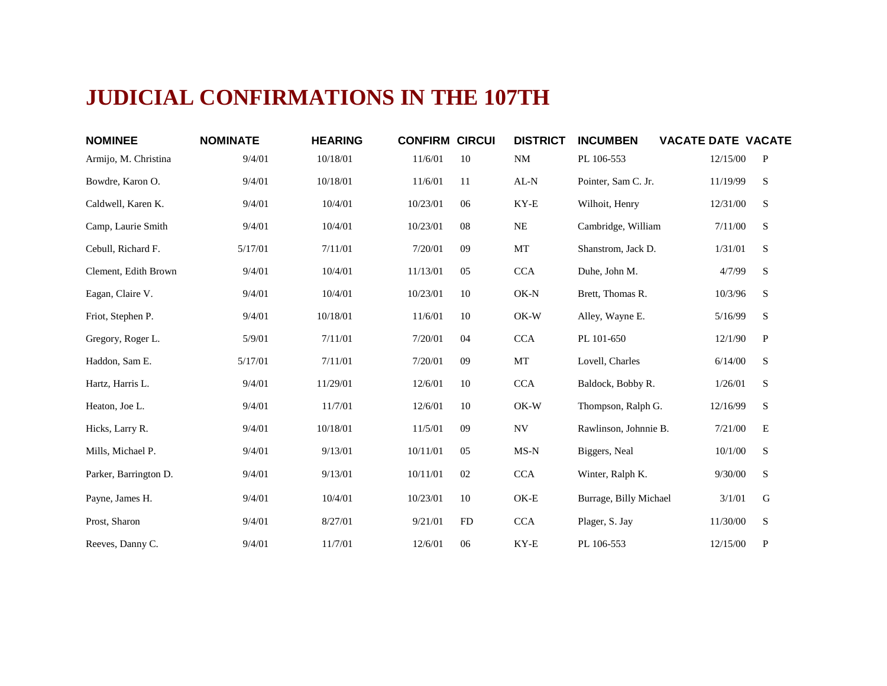## **JUDICIAL CONFIRMATIONS IN THE 107TH**

| <b>NOMINEE</b>        | <b>NOMINATE</b> | <b>HEARING</b> | <b>CONFIRM CIRCUI</b> |    | <b>DISTRICT</b> | <b>INCUMBEN</b>        | <b>VACATE DATE VACATE</b> |              |
|-----------------------|-----------------|----------------|-----------------------|----|-----------------|------------------------|---------------------------|--------------|
| Armijo, M. Christina  | 9/4/01          | 10/18/01       | 11/6/01               | 10 | <b>NM</b>       | PL 106-553             | 12/15/00                  | P            |
| Bowdre, Karon O.      | 9/4/01          | 10/18/01       | 11/6/01               | 11 | AL-N            | Pointer, Sam C. Jr.    | 11/19/99                  | S            |
| Caldwell, Karen K.    | 9/4/01          | 10/4/01        | 10/23/01              | 06 | KY-E            | Wilhoit, Henry         | 12/31/00                  | S            |
| Camp, Laurie Smith    | 9/4/01          | 10/4/01        | 10/23/01              | 08 | NE              | Cambridge, William     | 7/11/00                   | S            |
| Cebull, Richard F.    | 5/17/01         | 7/11/01        | 7/20/01               | 09 | MT              | Shanstrom, Jack D.     | 1/31/01                   | S            |
| Clement, Edith Brown  | 9/4/01          | 10/4/01        | 11/13/01              | 05 | <b>CCA</b>      | Duhe, John M.          | 4/7/99                    | S            |
| Eagan, Claire V.      | 9/4/01          | 10/4/01        | 10/23/01              | 10 | OK-N            | Brett, Thomas R.       | 10/3/96                   | S            |
| Friot, Stephen P.     | 9/4/01          | 10/18/01       | 11/6/01               | 10 | OK-W            | Alley, Wayne E.        | 5/16/99                   | S            |
| Gregory, Roger L.     | 5/9/01          | 7/11/01        | 7/20/01               | 04 | <b>CCA</b>      | PL 101-650             | 12/1/90                   | $\mathbf{P}$ |
| Haddon, Sam E.        | 5/17/01         | 7/11/01        | 7/20/01               | 09 | MT              | Lovell, Charles        | 6/14/00                   | S            |
| Hartz, Harris L.      | 9/4/01          | 11/29/01       | 12/6/01               | 10 | <b>CCA</b>      | Baldock, Bobby R.      | 1/26/01                   | S            |
| Heaton, Joe L.        | 9/4/01          | 11/7/01        | 12/6/01               | 10 | OK-W            | Thompson, Ralph G.     | 12/16/99                  | S            |
| Hicks, Larry R.       | 9/4/01          | 10/18/01       | 11/5/01               | 09 | <b>NV</b>       | Rawlinson, Johnnie B.  | 7/21/00                   | E            |
| Mills, Michael P.     | 9/4/01          | 9/13/01        | 10/11/01              | 05 | MS-N            | Biggers, Neal          | 10/1/00                   | S            |
| Parker, Barrington D. | 9/4/01          | 9/13/01        | 10/11/01              | 02 | <b>CCA</b>      | Winter, Ralph K.       | 9/30/00                   | S            |
| Payne, James H.       | 9/4/01          | 10/4/01        | 10/23/01              | 10 | OK-E            | Burrage, Billy Michael | 3/1/01                    | G            |
| Prost, Sharon         | 9/4/01          | 8/27/01        | 9/21/01               | FD | CCA             | Plager, S. Jay         | 11/30/00                  | S            |
| Reeves, Danny C.      | 9/4/01          | 11/7/01        | 12/6/01               | 06 | KY-E            | PL 106-553             | 12/15/00                  | $\mathbf{P}$ |